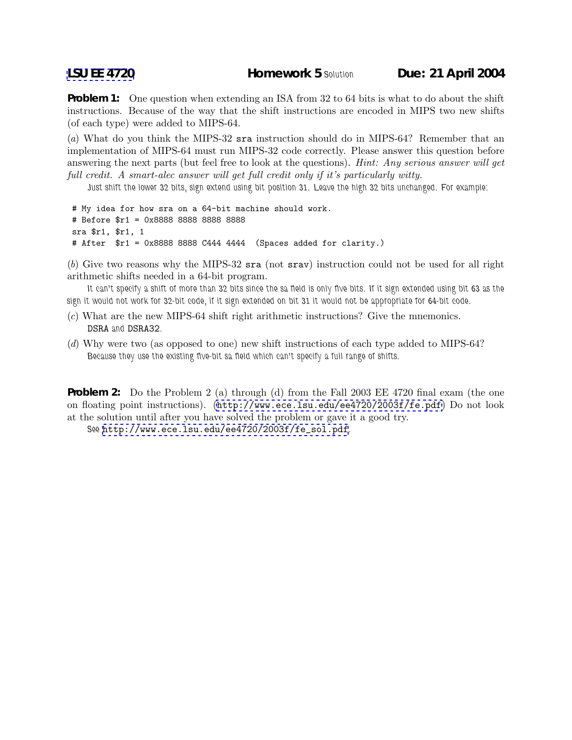**Problem 1:** One question when extending an ISA from 32 to 64 bits is what to do about the shift instructions. Because of the way that the shift instructions are encoded in MIPS two new shifts (of each type) were added to MIPS-64.

(*a*) What do you think the MIPS-32 sra instruction should do in MIPS-64? Remember that an implementation of MIPS-64 must run MIPS-32 code correctly. Please answer this question before answering the next parts (but feel free to look at the questions). *Hint: Any serious answer will get full credit. A smart-alec answer will get full credit only if it's particularly witty.*

*Just shift the lower 32 bits, sign extend using bit position 31. Leave the high 32 bits unchanged. For example:*

# My idea for how sra on a 64-bit machine should work. # Before \$r1 = 0x8888 8888 8888 8888 sra \$r1, \$r1, 1 # After \$r1 = 0x8888 8888 C444 4444 (Spaces added for clarity.)

(*b*) Give two reasons why the MIPS-32 sra (not srav) instruction could not be used for all right arithmetic shifts needed in a 64-bit program.

*It can't specify a shift of more than 32 bits since the sa field is only five bits. If it sign extended using bit 63 as the sign it would not work for 32-bit code, if it sign extended on bit 31 it would not be appropriate for 64-bit code.*

- (*c*) What are the new MIPS-64 shift right arithmetic instructions? Give the mnemonics. DSRA *and* DSRA32*.*
- (*d*) Why were two (as opposed to one) new shift instructions of each type added to MIPS-64? *Because they use the existing five-bit sa field which can't specify a full range of shifts.*

**Problem 2:** Do the Problem 2 (a) through (d) from the Fall 2003 EE 4720 final exam (the one on floating point instructions). (<http://www.ece.lsu.edu/ee4720/2003f/fe.pdf>) Do not look at the solution until after you have solved the problem or gave it a good try.

*See* [http://www.ece.lsu.edu/ee4720/2003f/fe\\_sol.pdf](http://www.ece.lsu.edu/ee4720/2003f/fe_sol.pdf)*.*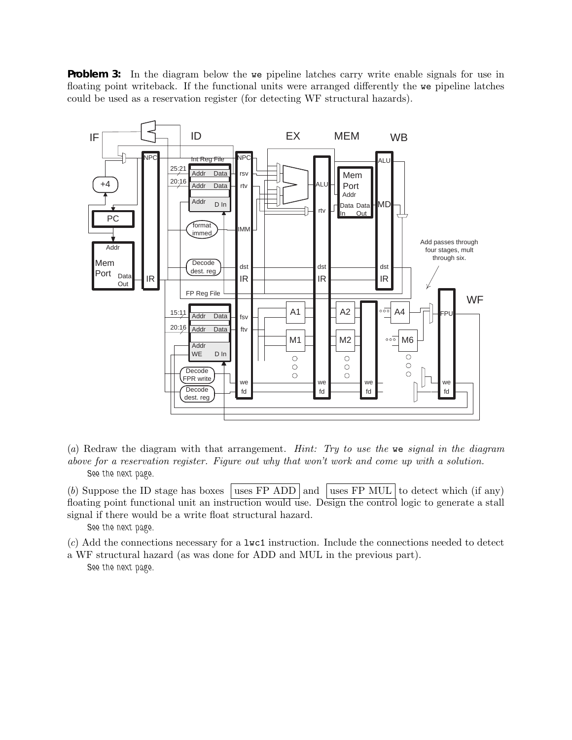**Problem 3:** In the diagram below the we pipeline latches carry write enable signals for use in floating point writeback. If the functional units were arranged differently the we pipeline latches could be used as a reservation register (for detecting WF structural hazards).



(*a*) Redraw the diagram with that arrangement. *Hint: Try to use the* we *signal in the diagram above for a reservation register. Figure out why that won't work and come up with a solution. See the next page.*

(b) Suppose the ID stage has boxes uses FP ADD and uses FP MUL to detect which (if any) floating point functional unit an instruction would use. Design the control logic to generate a stall signal if there would be a write float structural hazard.

*See the next page.*

(*c*) Add the connections necessary for a lwc1 instruction. Include the connections needed to detect

a WF structural hazard (as was done for ADD and MUL in the previous part). *See the next page.*